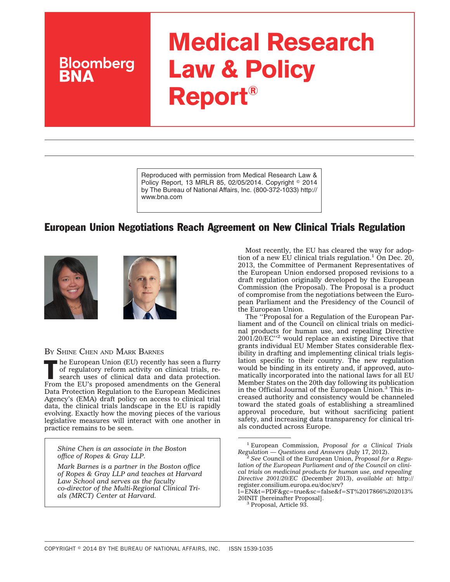# **Medical Research Law & Policy Report®**

Reproduced with permission from Medical Research Law & Policy Report, 13 MRLR 85, 02/05/2014. Copyright © 2014 by The Bureau of National Affairs, Inc. (800-372-1033) http:// www.bna.com

## European Union Negotiations Reach Agreement on New Clinical Trials Regulation





BY SHINE CHEN AND MARK BARNES

**Bloomberg** 

The European Union (EU) recently has seen a flurry<br>of regulatory reform activity on clinical trials, re-<br>search uses of clinical data and data protection.<br>From the U's protection of regulatory reform activity on clinical trials, re-From the EU's proposed amendments on the General Data Protection Regulation to the European Medicines Agency's (EMA) draft policy on access to clinical trial data, the clinical trials landscape in the EU is rapidly evolving. Exactly how the moving pieces of the various legislative measures will interact with one another in practice remains to be seen.

*Shine Chen is an associate in the Boston office of Ropes & Gray LLP.*

*Mark Barnes is a partner in the Boston office of Ropes & Gray LLP and teaches at Harvard Law School and serves as the faculty co-director of the Multi-Regional Clinical Trials (MRCT) Center at Harvard.*

Most recently, the EU has cleared the way for adoption of a new EU clinical trials regulation.<sup>1</sup> On Dec. 20, 2013, the Committee of Permanent Representatives of the European Union endorsed proposed revisions to a draft regulation originally developed by the European Commission (the Proposal). The Proposal is a product of compromise from the negotiations between the European Parliament and the Presidency of the Council of the European Union.

The ''Proposal for a Regulation of the European Parliament and of the Council on clinical trials on medicinal products for human use, and repealing Directive 2001/20/EC''2 would replace an existing Directive that grants individual EU Member States considerable flexibility in drafting and implementing clinical trials legislation specific to their country. The new regulation would be binding in its entirety and, if approved, automatically incorporated into the national laws for all EU Member States on the 20th day following its publication in the Official Journal of the European Union.<sup>3</sup> This increased authority and consistency would be channeled toward the stated goals of establishing a streamlined approval procedure, but without sacrificing patient safety, and increasing data transparency for clinical trials conducted across Europe.

<sup>1</sup> European Commission, *Proposal for a Clinical Trials*

*Regulation* — *Questions and Answers* (July 17, 2012). <sup>2</sup> *See* Council of the European Union, *Proposal for a Regulation of the European Parliament and of the Council on clinical trials on medicinal products for human use, and repealing Directive 2001/20/EC* (December 2013), *available at*: [http://](http://register.consilium.europa.eu/doc/srv?l=EN&t=PDF&gc=true&sc=false&f=ST%2017866%202013%20INIT) [register.consilium.europa.eu/doc/srv?](http://register.consilium.europa.eu/doc/srv?l=EN&t=PDF&gc=true&sc=false&f=ST%2017866%202013%20INIT)

[l=EN&t=PDF&gc=true&sc=false&f=ST%2017866%202013%](http://register.consilium.europa.eu/doc/srv?l=EN&t=PDF&gc=true&sc=false&f=ST%2017866%202013%20INIT) [20INIT](http://register.consilium.europa.eu/doc/srv?l=EN&t=PDF&gc=true&sc=false&f=ST%2017866%202013%20INIT) [hereinafter Proposal]. <sup>3</sup> Proposal, Article 93.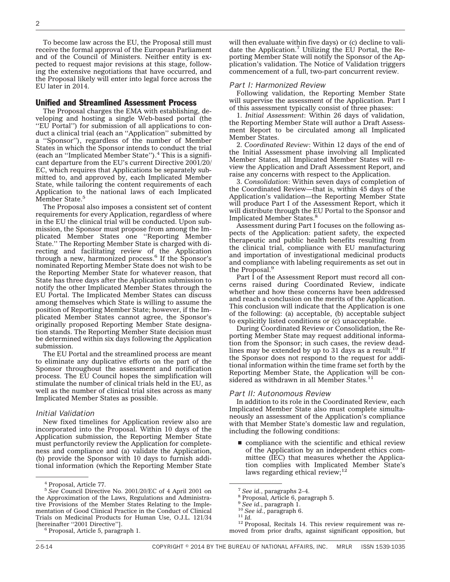To become law across the EU, the Proposal still must receive the formal approval of the European Parliament and of the Council of Ministers. Neither entity is expected to request major revisions at this stage, following the extensive negotiations that have occurred, and the Proposal likely will enter into legal force across the EU later in 2014.

#### Unified and Streamlined Assessment Process

The Proposal charges the EMA with establishing, developing and hosting a single Web-based portal (the ''EU Portal'') for submission of all applications to conduct a clinical trial (each an ''Application'' submitted by a ''Sponsor''), regardless of the number of Member States in which the Sponsor intends to conduct the trial (each an ''Implicated Member State'').4 This is a significant departure from the EU's current Directive 2001/20/ EC, which requires that Applications be separately submitted to, and approved by, each Implicated Member State, while tailoring the content requirements of each Application to the national laws of each Implicated Member State.<sup>5</sup>

The Proposal also imposes a consistent set of content requirements for every Application, regardless of where in the EU the clinical trial will be conducted. Upon submission, the Sponsor must propose from among the Implicated Member States one ''Reporting Member State.'' The Reporting Member State is charged with directing and facilitating review of the Application through a new, harmonized process. $\frac{6}{5}$  If the Sponsor's nominated Reporting Member State does not wish to be the Reporting Member State for whatever reason, that State has three days after the Application submission to notify the other Implicated Member States through the EU Portal. The Implicated Member States can discuss among themselves which State is willing to assume the position of Reporting Member State; however, if the Implicated Member States cannot agree, the Sponsor's originally proposed Reporting Member State designation stands. The Reporting Member State decision must be determined within six days following the Application submission.

The EU Portal and the streamlined process are meant to eliminate any duplicative efforts on the part of the Sponsor throughout the assessment and notification process. The EU Council hopes the simplification will stimulate the number of clinical trials held in the EU, as well as the number of clinical trial sites across as many Implicated Member States as possible.

#### *Initial Validation*

New fixed timelines for Application review also are incorporated into the Proposal. Within 10 days of the Application submission, the Reporting Member State must perfunctorily review the Application for completeness and compliance and (a) validate the Application, (b) provide the Sponsor with 10 days to furnish additional information (which the Reporting Member State will then evaluate within five days) or (c) decline to validate the Application.<sup>7</sup> Utilizing the EU Portal, the Reporting Member State will notify the Sponsor of the Application's validation. The Notice of Validation triggers commencement of a full, two-part concurrent review.

#### *Part I: Harmonized Review*

Following validation, the Reporting Member State will supervise the assessment of the Application. Part I of this assessment typically consist of three phases:

1. *Initial Assessment*: Within 26 days of validation, the Reporting Member State will author a Draft Assessment Report to be circulated among all Implicated Member States.

2. *Coordinated Review*: Within 12 days of the end of the Initial Assessment phase involving all Implicated Member States, all Implicated Member States will review the Application and Draft Assessment Report, and raise any concerns with respect to the Application.

3. *Consolidation*: Within seven days of completion of the Coordinated Review—that is, within 45 days of the Application's validation—the Reporting Member State will produce Part I of the Assessment Report, which it will distribute through the EU Portal to the Sponsor and Implicated Member States.<sup>8</sup>

Assessment during Part I focuses on the following aspects of the Application: patient safety, the expected therapeutic and public health benefits resulting from the clinical trial, compliance with EU manufacturing and importation of investigational medicinal products and compliance with labeling requirements as set out in the Proposal.9

Part I of the Assessment Report must record all concerns raised during Coordinated Review, indicate whether and how these concerns have been addressed and reach a conclusion on the merits of the Application. This conclusion will indicate that the Application is one of the following: (a) acceptable, (b) acceptable subject to explicitly listed conditions or (c) unacceptable.

During Coordinated Review or Consolidation, the Reporting Member State may request additional information from the Sponsor; in such cases, the review deadlines may be extended by up to 31 days as a result.<sup>10</sup> If the Sponsor does not respond to the request for additional information within the time frame set forth by the Reporting Member State, the Application will be considered as withdrawn in all Member States.<sup>11</sup>

#### *Part II: Autonomous Review*

In addition to its role in the Coordinated Review, each Implicated Member State also must complete simultaneously an assessment of the Application's compliance with that Member State's domestic law and regulation, including the following conditions:

 $\blacksquare$  compliance with the scientific and ethical review of the Application by an independent ethics committee (IEC) that measures whether the Application complies with Implicated Member State's laws regarding ethical review;<sup>12</sup>

<sup>10</sup> See id., paragraph 6.<br><sup>11</sup> *Id.* 12 Proposal, Recitals 14. This review requirement was removed from prior drafts, against significant opposition, but

<sup>4</sup> Proposal, Article 77.

<sup>5</sup> *See* Council Directive No. 2001/20/EC of 4 April 2001 on the Approximation of the Laws, Regulations and Administrative Provisions of the Member States Relating to the Implementation of Good Clinical Practice in the Conduct of Clinical Trials on Medicinal Products for Human Use, O.J.L. 121/34

 $\beta$  Proposal, Article 5, paragraph 1.

<sup>7</sup> *See id.*, paragraphs 2–4. <sup>8</sup> Proposal, Article 6, paragraph 5.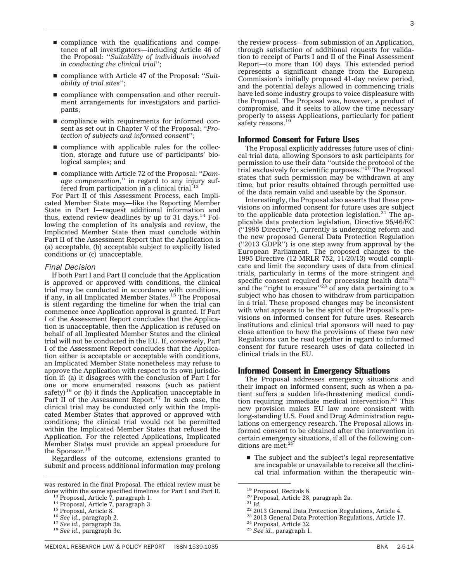- $\blacksquare$  compliance with the qualifications and competence of all investigators—including Article 46 of the Proposal: ''*Suitability of individuals involved in conducting the clinical trial*'';
- compliance with Article 47 of the Proposal: "*Suitability of trial sites*'';
- $\blacksquare$  compliance with compensation and other recruitment arrangements for investigators and participants;
- $\blacksquare$  compliance with requirements for informed consent as set out in Chapter V of the Proposal: ''*Protection of subjects and informed consent*'';
- $\blacksquare$  compliance with applicable rules for the collection, storage and future use of participants' biological samples; and
- compliance with Article 72 of the Proposal: "*Damage compensation,*'' in regard to any injury suffered from participation in a clinical trial.<sup>13</sup>

For Part II of this Assessment Process, each Implicated Member State may—like the Reporting Member State in Part I—request additional information and thus, extend review deadlines by up to 31 days. $^{14}$  Following the completion of its analysis and review, the Implicated Member State then must conclude within Part II of the Assessment Report that the Application is (a) acceptable, (b) acceptable subject to explicitly listed conditions or (c) unacceptable.

#### *Final Decision*

If both Part I and Part II conclude that the Application is approved or approved with conditions, the clinical trial may be conducted in accordance with conditions, if any, in all Implicated Member States.15 The Proposal is silent regarding the timeline for when the trial can commence once Application approval is granted. If Part I of the Assessment Report concludes that the Application is unacceptable, then the Application is refused on behalf of all Implicated Member States and the clinical trial will not be conducted in the EU. If, conversely, Part I of the Assessment Report concludes that the Application either is acceptable or acceptable with conditions, an Implicated Member State nonetheless may refuse to approve the Application with respect to its own jurisdiction if: (a) it disagrees with the conclusion of Part I for one or more enumerated reasons (such as patient safety)<sup>16</sup> or (b) it finds the Application unacceptable in Part II of the Assessment Report.<sup>17</sup> In such case, the clinical trial may be conducted only within the Implicated Member States that approved or approved with conditions; the clinical trial would not be permitted within the Implicated Member States that refused the Application. For the rejected Applications, Implicated Member States must provide an appeal procedure for the Sponsor.<sup>18</sup>

Regardless of the outcome, extensions granted to submit and process additional information may prolong

the review process—from submission of an Application, through satisfaction of additional requests for validation to receipt of Parts I and II of the Final Assessment Report—to more than 100 days. This extended period represents a significant change from the European Commission's initially proposed 41-day review period, and the potential delays allowed in commencing trials have led some industry groups to voice displeasure with the Proposal. The Proposal was, however, a product of compromise, and it seeks to allow the time necessary properly to assess Applications, particularly for patient safety reasons.<sup>19</sup>

#### Informed Consent for Future Uses

The Proposal explicitly addresses future uses of clinical trial data, allowing Sponsors to ask participants for permission to use their data ''outside the protocol of the trial exclusively for scientific purposes.''20 The Proposal states that such permission may be withdrawn at any time, but prior results obtained through permitted use of the data remain valid and useable by the Sponsor.

Interestingly, the Proposal also asserts that these provisions on informed consent for future uses are subject to the applicable data protection legislation. $21$  The applicable data protection legislation, Directive 95/46/EC (''1995 Directive''), currently is undergoing reform and the new proposed General Data Protection Regulation (''2013 GDPR'') is one step away from approval by the European Parliament. The proposed changes to the 1995 Directive (12 MRLR 752, 11/20/13) would complicate and limit the secondary uses of data from clinical trials, particularly in terms of the more stringent and specific consent required for processing health data<sup>22</sup> and the "right to erasure"<sup>23</sup> of any data pertaining to a subject who has chosen to withdraw from participation in a trial. These proposed changes may be inconsistent with what appears to be the spirit of the Proposal's provisions on informed consent for future uses. Research institutions and clinical trial sponsors will need to pay close attention to how the provisions of these two new Regulations can be read together in regard to informed consent for future research uses of data collected in clinical trials in the EU.

#### Informed Consent in Emergency Situations

The Proposal addresses emergency situations and their impact on informed consent, such as when a patient suffers a sudden life-threatening medical condition requiring immediate medical intervention.<sup>24</sup> This new provision makes EU law more consistent with long-standing U.S. Food and Drug Administration regulations on emergency research. The Proposal allows informed consent to be obtained after the intervention in certain emergency situations, if all of the following con-ditions are met:25

 $\blacksquare$  The subject and the subject's legal representative are incapable or unavailable to receive all the clinical trial information within the therapeutic win-

was restored in the final Proposal. The ethical review must be done within the same specified timelines for Part I and Part II.<br>
<sup>13</sup> Proposal, Article 7, paragraph 1.<br>
<sup>14</sup> Proposal, Article 7, paragraph 3.<br>
<sup>15</sup> Proposal, Article 8.<br>
<sup>16</sup> See id., paragraph 2.<br>
<sup>17</sup> See id., paragr

<sup>&</sup>lt;sup>19</sup> Proposal, Recitals 8.<br>
<sup>20</sup> Proposal, Article 28, paragraph 2a.<br>
<sup>21</sup> Id.<br>
<sup>22</sup> 2013 General Data Protection Regulations, Article 4.<br>
<sup>22</sup> 2013 General Data Protection Regulations, Article 17.<br>
<sup>24</sup> Proposal, Article